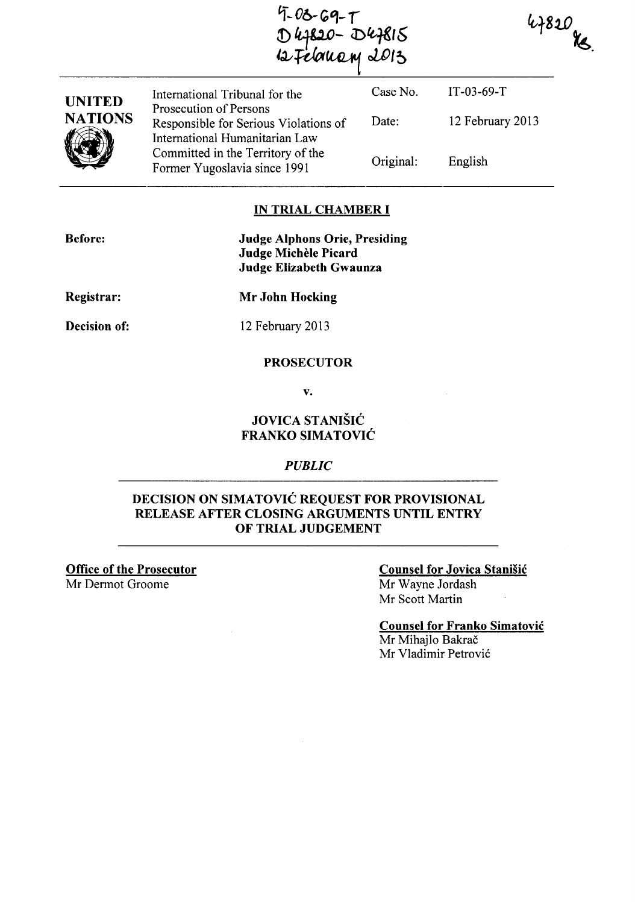4-03-69-T<br>D47820-D47815<br>12 Felomeny 2013

 $4820$  Ks.

| <b>UNITED</b><br><b>NATIONS</b> | International Tribunal for the<br>Prosecution of Persons<br>Responsible for Serious Violations of<br>International Humanitarian Law<br>Committed in the Territory of the<br>Former Yugoslavia since 1991 | Case No.<br>Date: | $IT-03-69-T$<br>12 February 2013 |
|---------------------------------|----------------------------------------------------------------------------------------------------------------------------------------------------------------------------------------------------------|-------------------|----------------------------------|
|                                 |                                                                                                                                                                                                          | Original:         | English                          |
|                                 |                                                                                                                                                                                                          |                   |                                  |

#### **IN TRIAL CHAMBER I**

| <b>Before:</b> | <b>Judge Alphons Orie, Presiding</b><br>Judge Michèle Picard<br><b>Judge Elizabeth Gwaunza</b> |  |
|----------------|------------------------------------------------------------------------------------------------|--|
| Registrar:     | <b>Mr John Hocking</b>                                                                         |  |
| Decision of:   | 12 February 2013                                                                               |  |
|                | <b>PROSECUTOR</b>                                                                              |  |

v.

## **JOVICA STANISIC FRANKO SIMATOVIC**

#### *PUBLIC*

### **DECISION ON SIMATOVIC REQUEST FOR PROVISIONAL RELEASE AFTER CLOSING ARGUMENTS UNTIL ENTRY OF TRIAL JUDGEMENT**

**Office of the Prosecutor** Mr Dermot Groome

### **Counsel for Jovica Stanisic**

Mr Wayne lordash Mr Scott Martin

**Counsel for Franko Simatovic**  Mr Mihajlo Bakrač Mr Vladimir Petrović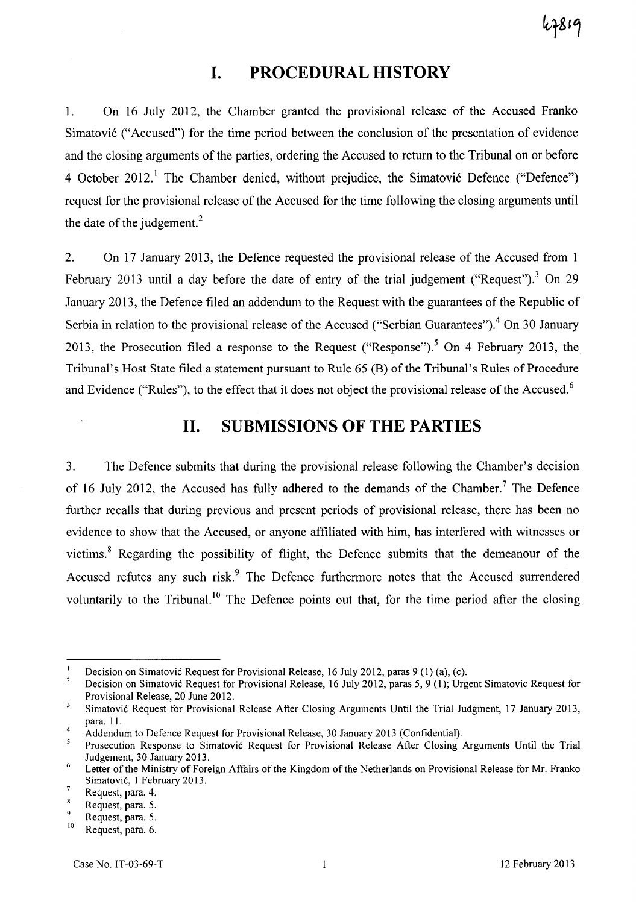7810

# **I. PROCEDURAL HISTORY**

1. On 16 July 2012, the Chamber granted the provisional release of the Accused Franko Simatović ("Accused") for the time period between the conclusion of the presentation of evidence and the closing arguments of the parties, ordering the Accused to return to the Tribunal on or before 4 October 2012.<sup>1</sup> The Chamber denied, without prejudice, the Simatovic Defence ("Defence") request for the provisional release of the Accused for the time following the closing arguments until the date of the judgement. $<sup>2</sup>$ </sup>

2. On 17 January 2013, the Defence requested the provisional release of the Accused from 1 February 2013 until a day before the date of entry of the trial judgement ("Request").<sup>3</sup> On 29 January 2013, the Defence filed an addendum to the Request with the guarantees of the Republic of Serbia in relation to the provisional release of the Accused ("Serbian Guarantees").<sup>4</sup> On 30 January 2013, the Prosecution filed a response to the Request ("Response").<sup>5</sup> On 4 February 2013, the Tribunal's Host State filed a statement pursuant to Rule 65 (B) of the Tribunal's Rules of Procedure and Evidence ("Rules"), to the effect that it does not object the provisional release of the Accused.<sup>6</sup>

## **11. SUBMISSIONS OF THE PARTIES**

3. The Defence submits that during the provisional release following the Chamber's decision of 16 July 2012, the Accused has fully adhered to the demands of the Chamber.<sup>7</sup> The Defence further recalls that during previous and present periods of provisional release, there has been no evidence to show that the Accused, or anyone affiliated with him, has interfered with witnesses or victims. 8 Regarding the possibility of flight, the Defence submits that the demeanour of the Accused refutes any such risk.<sup>9</sup> The Defence furthermore notes that the Accused surrendered voluntarily to the Tribunal.<sup>10</sup> The Defence points out that, for the time period after the closing

 $\mathbf{1}$ Decision on Simatovic Request for Provisional Release, 16 July 2012, paras 9 (1) (a), (c).

 $\overline{2}$ Decision on Simatovic Request for Provisional Release, 16 July 2012, paras 5, 9 (1); Urgent Simatovic Request for Provisional Release, 20 June 2012.

 $\overline{\mathbf{3}}$ Simatovic Request for Provisional Release After Closing Arguments Until the Trial Judgment, 17 January 2013, para. 11.

<sup>4</sup> Addendum to Defence Request for Provisional Release, 30 January 2013 (Confidential).

Prosecution Response to Simatovic Request for Provisional Release After Closing Arguments Until the Trial Judgement, 30 January 20l3.

<sup>&</sup>lt;sup>6</sup> Letter of the Ministry of Foreign Affairs of the Kingdom of the Netherlands on Provisional Release for Mr. Franko Simatovic, 1 February 2013.  $\overline{7}$ 

Request, para. 4.

Request, para. 5.

Request, para. 5.

 $^{10}$  Request, para. 6.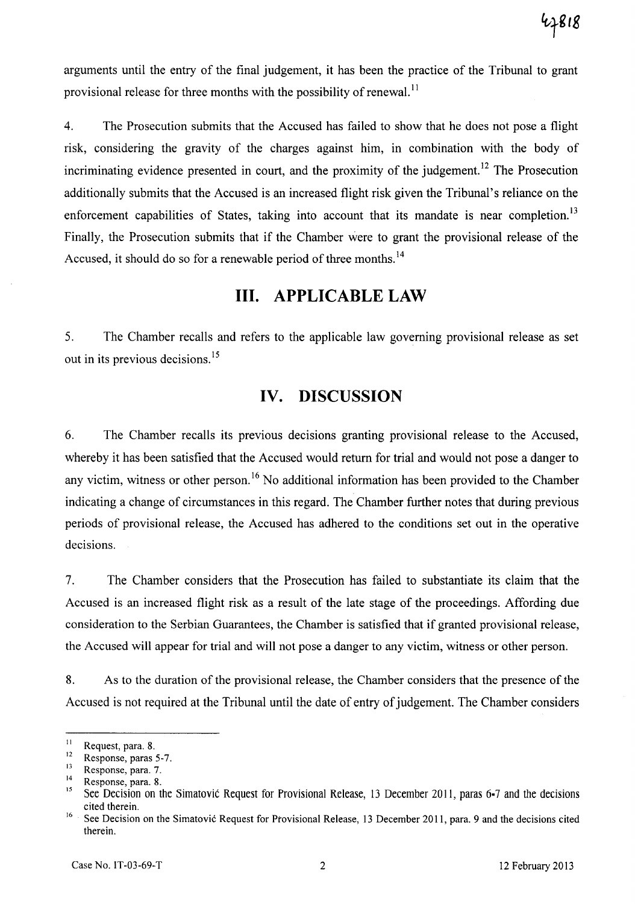arguments until the entry of the final judgement, it has been the practice of the Tribunal to grant provisional release for three months with the possibility of renewal.<sup>11</sup>

4. The Prosecution submits that the Accused has failed to show that he does not pose a flight risk, considering the gravity of the charges against him, in combination with the body of incriminating evidence presented in court, and the proximity of the judgement.<sup>12</sup> The Prosecution additionally submits that the Accused is an increased flight risk given the Tribunal's reliance on the enforcement capabilities of States, taking into account that its mandate is near completion.<sup>13</sup> Finally, the Prosecution submits that if the Chamber were to grant the provisional release of the Accused, it should do so for a renewable period of three months.<sup>14</sup>

# **Ill. APPLICABLE LAW**

5. The Chamber recalls and refers to the applicable law governing provisional release as set out in its previous decisions.<sup>15</sup>

# **IV. DISCUSSION**

6. The Chamber recalls its previous decisions granting provisional release to the Accused, whereby it has been satisfied that the Accused would return for trial and would not pose a danger to any victim, witness or other person.<sup>16</sup> No additional information has been provided to the Chamber indicating a change of circumstances in this regard. The Chamber further notes that during previous periods of provisional release, the Accused has adhered to the conditions set out in the operative decisions.

7. The Chamber considers that the Prosecution has failed to substantiate its claim that the Accused is an increased flight risk as a result of the late stage of the proceedings. Affording due consideration to the Serbian Guarantees, the Chamber is satisfied that if granted provisional release, the Accused will appear for trial and will not pose a danger to any victim, witness or other person.

8. As to the duration of the provisional release, the Chamber considers that the presence of the Accused is not required at the Tribunal until the date of entry of judgement. The Chamber considers

 $^{11}$  Request, para. 8.

 $\frac{12}{13}$  Response, paras 5-7.

 $13$  Response, para. 7.

 $15$  Response, para. 8.

<sup>15</sup>See Decision on the Simatovic Request for Provisional Release, 13 December 2011, paras 6·7 and the decisions cited therein.

<sup>&</sup>lt;sup>16</sup> See Decision on the Simatovic Request for Provisional Release, 13 December 2011, para. 9 and the decisions cited therein.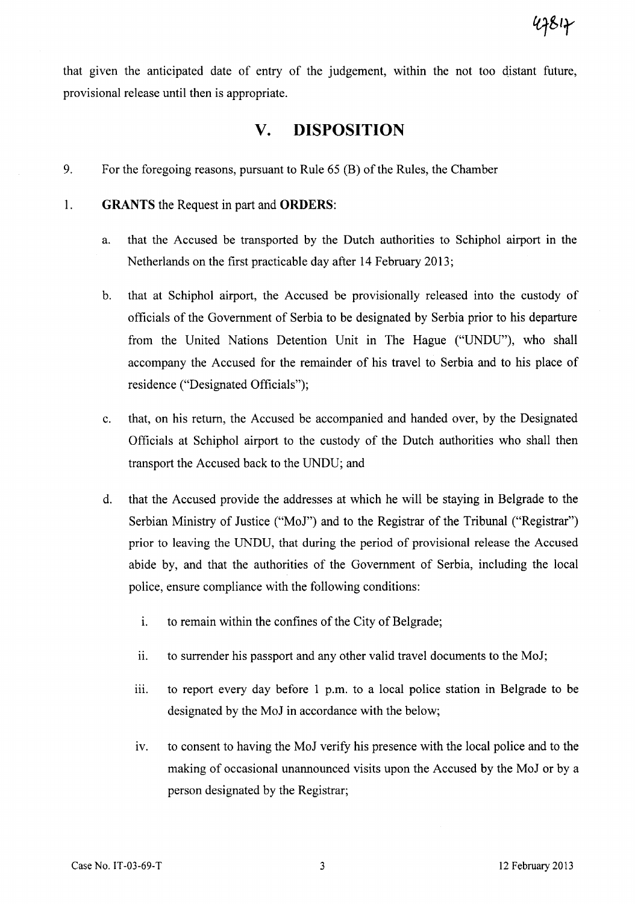that given the anticipated date of entry of the judgement, within the not too qistant future, provisional release until then is appropriate.

## **v. DISPOSITION**

- 9. For the foregoing reasons, pursuant to Rule 65 (B) of the Rules, the Chamber
- 1. **GRANTS** the Request in part and **ORDERS:** 
	- a. that the Accused be transported by the Dutch authorities to Schiphol airport in the Netherlands on the first practicable day after 14 February 2013;
	- b. that at Schiphol airport, the Accused be provisionally released into the custody of officials of the Government of Serbia to be designated by Serbia prior to his departure from the United Nations Detention Unit in The Hague ("UNDU"), who shall accompany the Accused for the remainder of his travel to Serbia and to his place of residence ("Designated Officials");
	- c. that, on his return, the Accused be accompanied and handed over, by the Designated Officials at Schiphol airport to the custody of the Dutch authorities who shall then transport the Accused back to the UNDU; and
	- d. that the Accused provide the addresses at which he will be staying in Belgrade to the Serbian Ministry of Justice ("MoJ") and to the Registrar of the Tribunal ("Registrar") prior to leaving the UNDU, that during the period of provisional release the Accused abide by, and that the authorities of the Government of Serbia, including the local police, ensure compliance with the following conditions:
		- i. to remain within the confines of the City of Belgrade;
		- $11.$  to surrender his passport and any other valid travel documents to the MoJ;
		- iii. to report every day before 1 p.m. to a local police station in Belgrade to be designated by the MoJ in accordance with the below;
		- iv. to consent to having the MoJ verify his presence with the local police and to the making of occasional unannounced visits upon the Accused by the MoJ or by a person designated by the Registrar;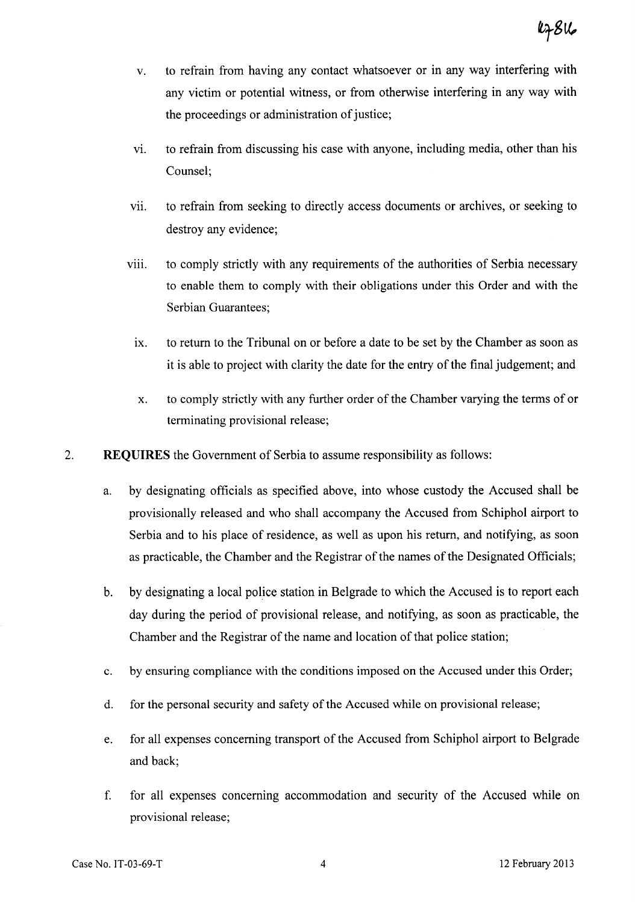- v. to refrain from having any contact whatsoever or in any way interfering with any victim or potential witness, or from otherwise interfering in any way with the proceedings or administration of justice;
- vi. to refrain from discussing his case with anyone, including media, other than his Counsel;
- vii. to refrain from seeking to directly access documents or archives, or seeking to destroy any evidence;
- viii. to comply strictly with any requirements of the authorities of Serbia necessary to enable them to comply with their obligations under this Order and with the Serbian Guarantees;
	- ix. to return to the Tribunal on or before a date to be set by the Chamber as soon as it is able to project with clarity the date for the entry of the final judgement; and
	- x. to comply strictly with any further order of the Chamber varying the terms of or terminating provisional release;
- 2. **REQUIRES** the Government of Serbia to assume responsibility as follows:
	- a. by designating officials as specified above, into whose custody the Accused shall be provisionally released and who shall accompany the Accused from Schiphol airport to Serbia and to his place of residence, as well as upon his return, and notifying, as soon as practicable, the Chamber and the Registrar of the names of the Designated Officials;
	- b. by designating a local police station in Belgrade to which the Accused is to report each day during the period of provisional release, and notifying, as soon as practicable, the Chamber and the Registrar of the name and location of that police station;
	- c. by ensuring compliance with the conditions imposed on the Accused under this Order;
	- d. for the personal security and safety of the Accused while on provisional release;
	- e. for all expenses concerning transport of the Accused from Schiphol airport to Belgrade and back;
	- f. for all expenses concerning accommodation and security of the Accused while on provisional release;